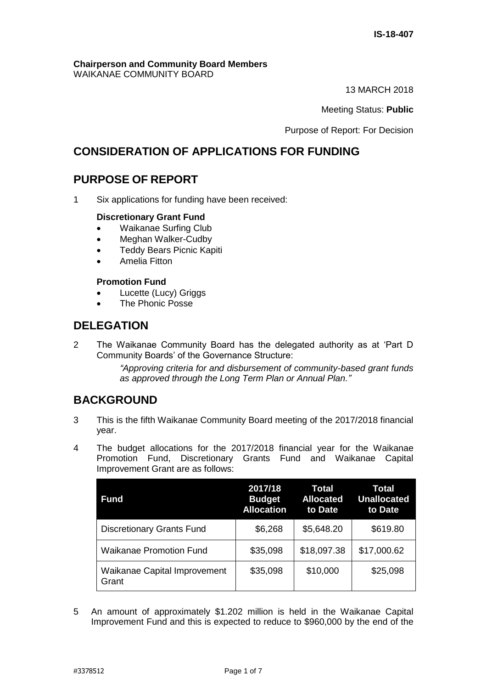#### **Chairperson and Community Board Members** WAIKANAE COMMUNITY BOARD

13 MARCH 2018

Meeting Status: **Public**

Purpose of Report: For Decision

# **CONSIDERATION OF APPLICATIONS FOR FUNDING**

# **PURPOSE OF REPORT**

1 Six applications for funding have been received:

## **Discretionary Grant Fund**

- Waikanae Surfing Club
- Meghan Walker-Cudby
- Teddy Bears Picnic Kapiti
- Amelia Fitton

## **Promotion Fund**

- Lucette (Lucy) Griggs
- The Phonic Posse

# **DELEGATION**

2 The Waikanae Community Board has the delegated authority as at 'Part D Community Boards' of the Governance Structure:

> *"Approving criteria for and disbursement of community-based grant funds as approved through the Long Term Plan or Annual Plan."*

# **BACKGROUND**

- 3 This is the fifth Waikanae Community Board meeting of the 2017/2018 financial year.
- 4 The budget allocations for the 2017/2018 financial year for the Waikanae Promotion Fund, Discretionary Grants Fund and Waikanae Capital Improvement Grant are as follows:

| Fund                                         | 2017/18<br><b>Budget</b><br><b>Allocation</b> | Total<br><b>Allocated</b><br>to Date | Total<br><b>Unallocated</b><br>to Date |
|----------------------------------------------|-----------------------------------------------|--------------------------------------|----------------------------------------|
| <b>Discretionary Grants Fund</b>             | \$6,268                                       | \$5,648.20                           | \$619.80                               |
| <b>Waikanae Promotion Fund</b>               | \$35,098                                      | \$18,097.38                          | \$17,000.62                            |
| <b>Waikanae Capital Improvement</b><br>Grant | \$35,098                                      | \$10,000                             | \$25,098                               |

5 An amount of approximately \$1.202 million is held in the Waikanae Capital Improvement Fund and this is expected to reduce to \$960,000 by the end of the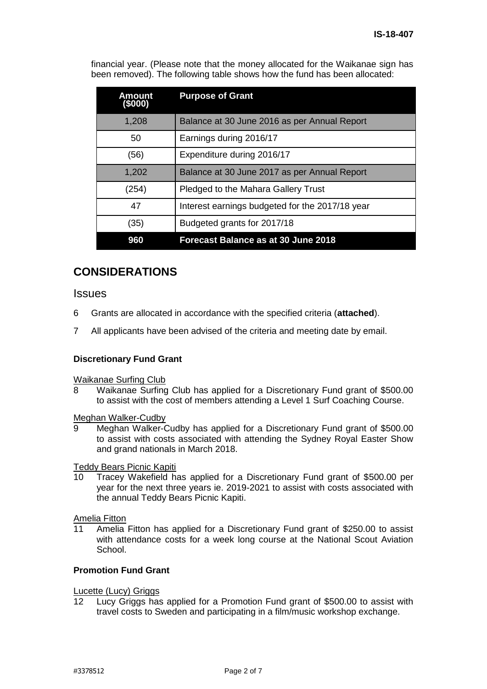financial year. (Please note that the money allocated for the Waikanae sign has been removed). The following table shows how the fund has been allocated:

| <b>Amount</b><br>(\$000) | <b>Purpose of Grant</b>                         |
|--------------------------|-------------------------------------------------|
| 1,208                    | Balance at 30 June 2016 as per Annual Report    |
| 50                       | Earnings during 2016/17                         |
| (56)                     | Expenditure during 2016/17                      |
| 1,202                    | Balance at 30 June 2017 as per Annual Report    |
| (254)                    | Pledged to the Mahara Gallery Trust             |
| 47                       | Interest earnings budgeted for the 2017/18 year |
| (35)                     | Budgeted grants for 2017/18                     |
| 960                      | Forecast Balance as at 30 June 2018             |

# **CONSIDERATIONS**

## Issues

- 6 Grants are allocated in accordance with the specified criteria (**attached**).
- 7 All applicants have been advised of the criteria and meeting date by email.

#### **Discretionary Fund Grant**

#### Waikanae Surfing Club

8 Waikanae Surfing Club has applied for a Discretionary Fund grant of \$500.00 to assist with the cost of members attending a Level 1 Surf Coaching Course.

#### Meghan Walker-Cudby

9 Meghan Walker-Cudby has applied for a Discretionary Fund grant of \$500.00 to assist with costs associated with attending the Sydney Royal Easter Show and grand nationals in March 2018.

#### Teddy Bears Picnic Kapiti

10 Tracey Wakefield has applied for a Discretionary Fund grant of \$500.00 per year for the next three years ie. 2019-2021 to assist with costs associated with the annual Teddy Bears Picnic Kapiti.

# Amelia Fitton<br>11 Amelia

Amelia Fitton has applied for a Discretionary Fund grant of \$250.00 to assist with attendance costs for a week long course at the National Scout Aviation School.

## **Promotion Fund Grant**

# **Lucette (Lucy) Griggs**<br>12 Lucy Griggs has

Lucy Griggs has applied for a Promotion Fund grant of \$500.00 to assist with travel costs to Sweden and participating in a film/music workshop exchange.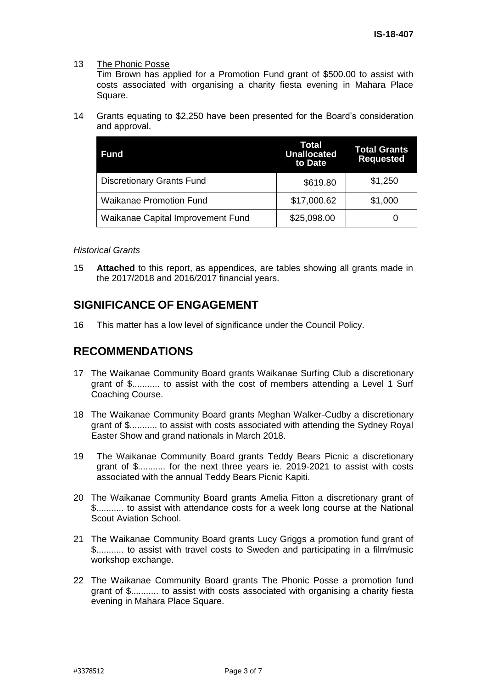#### 13 The Phonic Posse

Tim Brown has applied for a Promotion Fund grant of \$500.00 to assist with costs associated with organising a charity fiesta evening in Mahara Place Square.

14 Grants equating to \$2,250 have been presented for the Board's consideration and approval.

| <b>Fund</b>                       | Total<br><b>Unallocated</b><br>to Date | <b>Total Grants</b><br><b>Requested</b> |
|-----------------------------------|----------------------------------------|-----------------------------------------|
| <b>Discretionary Grants Fund</b>  | \$619.80                               | \$1,250                                 |
| <b>Waikanae Promotion Fund</b>    | \$17,000.62                            | \$1,000                                 |
| Waikanae Capital Improvement Fund | \$25,098.00                            |                                         |

#### *Historical Grants*

15 **Attached** to this report, as appendices, are tables showing all grants made in the 2017/2018 and 2016/2017 financial years.

# **SIGNIFICANCE OF ENGAGEMENT**

16 This matter has a low level of significance under the Council Policy.

# **RECOMMENDATIONS**

- 17 The Waikanae Community Board grants Waikanae Surfing Club a discretionary grant of \$........... to assist with the cost of members attending a Level 1 Surf Coaching Course.
- 18 The Waikanae Community Board grants Meghan Walker-Cudby a discretionary grant of \$........... to assist with costs associated with attending the Sydney Royal Easter Show and grand nationals in March 2018.
- 19 The Waikanae Community Board grants Teddy Bears Picnic a discretionary grant of \$........... for the next three years ie. 2019-2021 to assist with costs associated with the annual Teddy Bears Picnic Kapiti.
- 20 The Waikanae Community Board grants Amelia Fitton a discretionary grant of \$........... to assist with attendance costs for a week long course at the National Scout Aviation School.
- 21 The Waikanae Community Board grants Lucy Griggs a promotion fund grant of \$........... to assist with travel costs to Sweden and participating in a film/music workshop exchange.
- 22 The Waikanae Community Board grants The Phonic Posse a promotion fund grant of \$........... to assist with costs associated with organising a charity fiesta evening in Mahara Place Square.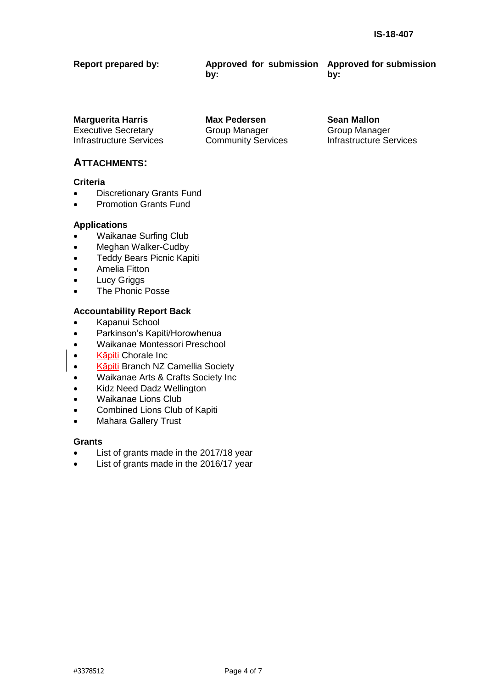| <b>Report prepared by:</b> | Approved for submission Approved for submission |     |
|----------------------------|-------------------------------------------------|-----|
|                            | bv:                                             | bv: |

**Marguerita Harris Max Pedersen Sean Mallon** Executive Secretary Infrastructure Services

Group Manager Community Services

# **ATTACHMENTS:**

#### **Criteria**

- Discretionary Grants Fund
- Promotion Grants Fund

#### **Applications**

- Waikanae Surfing Club
- Meghan Walker-Cudby
- **•** Teddy Bears Picnic Kapiti
- Amelia Fitton
- Lucy Griggs
- The Phonic Posse

#### **Accountability Report Back**

- Kapanui School
- Parkinson's Kapiti/Horowhenua
- Waikanae Montessori Preschool
- Kāpiti Chorale Inc
- Kāpiti Branch NZ Camellia Society
- Waikanae Arts & Crafts Society Inc
- Kidz Need Dadz Wellington
- Waikanae Lions Club
- Combined Lions Club of Kapiti
- Mahara Gallery Trust

#### **Grants**

- List of grants made in the 2017/18 year
- List of grants made in the 2016/17 year

Group Manager Infrastructure Services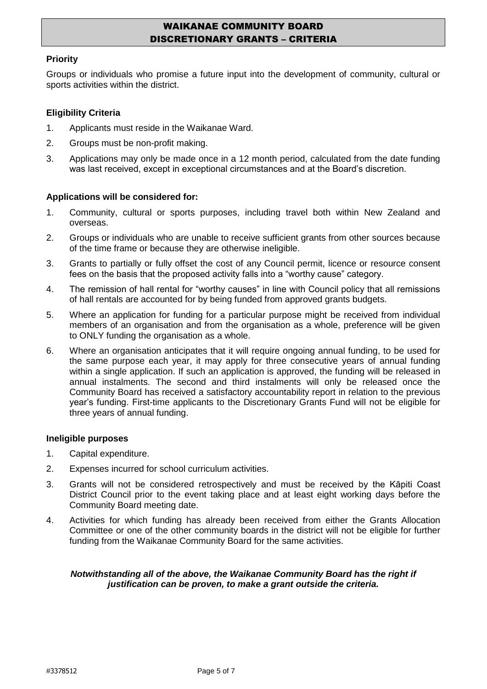# WAIKANAE COMMUNITY BOARD DISCRETIONARY GRANTS – CRITERIA

#### **Priority**

Groups or individuals who promise a future input into the development of community, cultural or sports activities within the district.

#### **Eligibility Criteria**

- 1. Applicants must reside in the Waikanae Ward.
- 2. Groups must be non-profit making.
- 3. Applications may only be made once in a 12 month period, calculated from the date funding was last received, except in exceptional circumstances and at the Board's discretion.

#### **Applications will be considered for:**

- 1. Community, cultural or sports purposes, including travel both within New Zealand and overseas.
- 2. Groups or individuals who are unable to receive sufficient grants from other sources because of the time frame or because they are otherwise ineligible.
- 3. Grants to partially or fully offset the cost of any Council permit, licence or resource consent fees on the basis that the proposed activity falls into a "worthy cause" category.
- 4. The remission of hall rental for "worthy causes" in line with Council policy that all remissions of hall rentals are accounted for by being funded from approved grants budgets.
- 5. Where an application for funding for a particular purpose might be received from individual members of an organisation and from the organisation as a whole, preference will be given to ONLY funding the organisation as a whole.
- 6. Where an organisation anticipates that it will require ongoing annual funding, to be used for the same purpose each year, it may apply for three consecutive years of annual funding within a single application. If such an application is approved, the funding will be released in annual instalments. The second and third instalments will only be released once the Community Board has received a satisfactory accountability report in relation to the previous year's funding. First-time applicants to the Discretionary Grants Fund will not be eligible for three years of annual funding.

#### **Ineligible purposes**

- 1. Capital expenditure.
- 2. Expenses incurred for school curriculum activities.
- 3. Grants will not be considered retrospectively and must be received by the Kāpiti Coast District Council prior to the event taking place and at least eight working days before the Community Board meeting date.
- 4. Activities for which funding has already been received from either the Grants Allocation Committee or one of the other community boards in the district will not be eligible for further funding from the Waikanae Community Board for the same activities.

#### *Notwithstanding all of the above, the Waikanae Community Board has the right if justification can be proven, to make a grant outside the criteria.*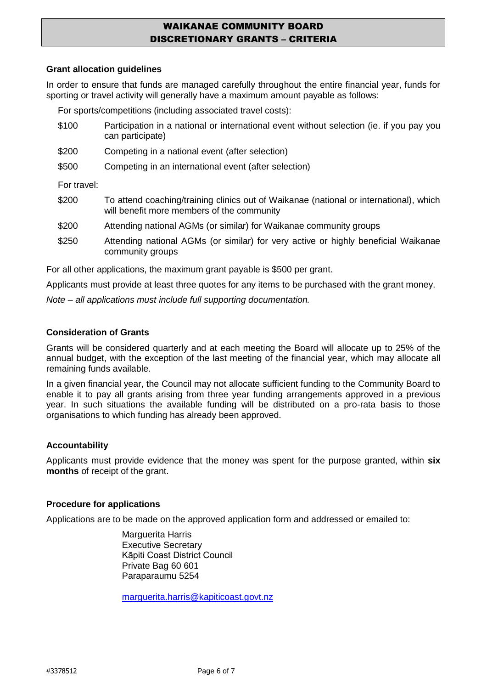# WAIKANAE COMMUNITY BOARD DISCRETIONARY GRANTS – CRITERIA

#### **Grant allocation guidelines**

In order to ensure that funds are managed carefully throughout the entire financial year, funds for sporting or travel activity will generally have a maximum amount payable as follows:

For sports/competitions (including associated travel costs):

- \$100 Participation in a national or international event without selection (ie. if you pay you can participate)
- \$200 Competing in a national event (after selection)
- \$500 Competing in an international event (after selection)

For travel:

- \$200 To attend coaching/training clinics out of Waikanae (national or international), which will benefit more members of the community
- \$200 Attending national AGMs (or similar) for Waikanae community groups
- \$250 Attending national AGMs (or similar) for very active or highly beneficial Waikanae community groups

For all other applications, the maximum grant payable is \$500 per grant.

Applicants must provide at least three quotes for any items to be purchased with the grant money.

*Note – all applications must include full supporting documentation.* 

#### **Consideration of Grants**

Grants will be considered quarterly and at each meeting the Board will allocate up to 25% of the annual budget, with the exception of the last meeting of the financial year, which may allocate all remaining funds available.

In a given financial year, the Council may not allocate sufficient funding to the Community Board to enable it to pay all grants arising from three year funding arrangements approved in a previous year. In such situations the available funding will be distributed on a pro-rata basis to those organisations to which funding has already been approved.

#### **Accountability**

Applicants must provide evidence that the money was spent for the purpose granted, within **six months** of receipt of the grant.

#### **Procedure for applications**

Applications are to be made on the approved application form and addressed or emailed to:

Marguerita Harris Executive Secretary Kāpiti Coast District Council Private Bag 60 601 Paraparaumu 5254

[marguerita.harris@kapiticoast.govt.nz](mailto:marguerita.harris@kapiticoast.govt.nz)